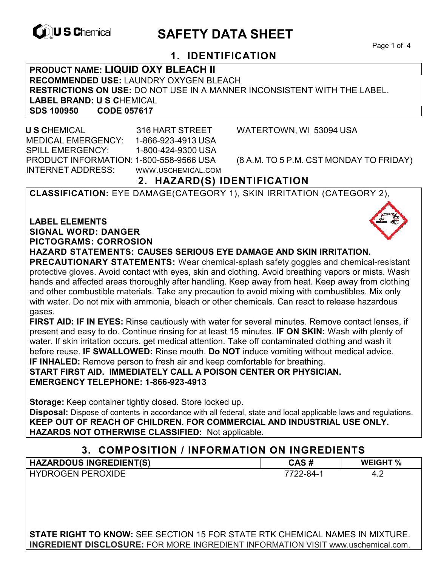

# **EXAGREM** SAFETY DATA SHEET

Page 1 of 4

# **1. IDENTIFICATION**

**PRODUCT NAME: LIQUID OXY BLEACH II RECOMMENDED USE:** LAUNDRY OXYGEN BLEACH **RESTRICTIONS ON USE:** DO NOT USE IN A MANNER INCONSISTENT WITH THE LABEL. **LABEL BRAND: U S C**HEMICAL **SDS 100950** 

 **U S C**HEMICAL 316 HART STREET WATERTOWN, WI 53094 USA MEDICAL EMERGENCY: 1-866-923-4913 USA SPILL EMERGENCY: 1-800-424-9300 USA PRODUCT INFORMATION: 1-800-558-9566 USA (8 A.M. TO 5 P.M. CST MONDAY TO FRIDAY) INTERNET ADDRESS: WWW.USCHEMICAL.COM

# **2. HAZARD(S) IDENTIFICATION**

**CLASSIFICATION:** EYE DAMAGE(CATEGORY 1), SKIN IRRITATION (CATEGORY 2),

**LABEL ELEMENTS SIGNAL WORD: DANGER PICTOGRAMS: CORROSION**



**HAZARD STATEMENTS: CAUSES SERIOUS EYE DAMAGE AND SKIN IRRITATION.** 

**PRECAUTIONARY STATEMENTS:** Wear chemical-splash safety goggles and chemical-resistant protective gloves. Avoid contact with eyes, skin and clothing. Avoid breathing vapors or mists. Wash hands and affected areas thoroughly after handling. Keep away from heat. Keep away from clothing and other combustible materials. Take any precaution to avoid mixing with combustibles. Mix only with water. Do not mix with ammonia, bleach or other chemicals. Can react to release hazardous gases.

**FIRST AID: IF IN EYES:** Rinse cautiously with water for several minutes. Remove contact lenses, if present and easy to do. Continue rinsing for at least 15 minutes. **IF ON SKIN:** Wash with plenty of water. If skin irritation occurs, get medical attention. Take off contaminated clothing and wash it before reuse. **IF SWALLOWED:** Rinse mouth. **Do NOT** induce vomiting without medical advice. **IF INHALED:** Remove person to fresh air and keep comfortable for breathing.

**START FIRST AID. IMMEDIATELY CALL A POISON CENTER OR PHYSICIAN. EMERGENCY TELEPHONE: 1-866-923-4913**

**Storage:** Keep container tightly closed. Store locked up. **Disposal:** Dispose of contents in accordance with all federal, state and local applicable laws and regulations. **KEEP OUT OF REACH OF CHILDREN. FOR COMMERCIAL AND INDUSTRIAL USE ONLY. HAZARDS NOT OTHERWISE CLASSIFIED:** Not applicable.

#### **3. COMPOSITION / INFORMATION ON INGREDIENTS**

| <b>HAZARDOUS INGREDIENT(S)</b> | CAS#            | <b>WEIGHT %</b> |
|--------------------------------|-----------------|-----------------|
| <b>HYDROGEN PEROXIDE</b>       | $7722 - 84 - 0$ | ے.4             |

**STATE RIGHT TO KNOW:** SEE SECTION 15 FOR STATE RTK CHEMICAL NAMES IN MIXTURE. **INGREDIENT DISCLOSURE:** FOR MORE INGREDIENT INFORMATION VISIT www.uschemical.com.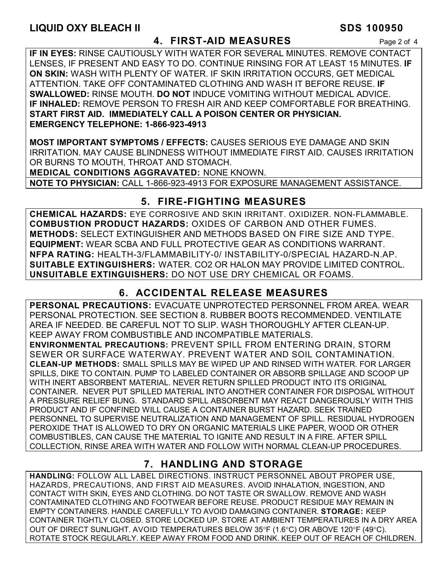# **4. FIRST-AID MEASURES** Page 2 of 4

**IF IN EYES:** RINSE CAUTIOUSLY WITH WATER FOR SEVERAL MINUTES. REMOVE CONTACT LENSES, IF PRESENT AND EASY TO DO. CONTINUE RINSING FOR AT LEAST 15 MINUTES. **IF ON SKIN:** WASH WITH PLENTY OF WATER. IF SKIN IRRITATION OCCURS, GET MEDICAL ATTENTION. TAKE OFF CONTAMINATED CLOTHING AND WASH IT BEFORE REUSE. **IF SWALLOWED:** RINSE MOUTH. **DO NOT** INDUCE VOMITING WITHOUT MEDICAL ADVICE. **IF INHALED:** REMOVE PERSON TO FRESH AIR AND KEEP COMFORTABLE FOR BREATHING. **START FIRST AID. IMMEDIATELY CALL A POISON CENTER OR PHYSICIAN. EMERGENCY TELEPHONE: 1-866-923-4913** 

**MOST IMPORTANT SYMPTOMS / EFFECTS:** CAUSES SERIOUS EYE DAMAGE AND SKIN IRRITATION. MAY CAUSE BLINDNESS WITHOUT IMMEDIATE FIRST AID. CAUSES IRRITATION OR BURNS TO MOUTH, THROAT AND STOMACH.

**MEDICAL CONDITIONS AGGRAVATED:** NONE KNOWN.

**NOTE TO PHYSICIAN:** CALL 1-866-923-4913 FOR EXPOSURE MANAGEMENT ASSISTANCE.

### **5. FIRE-FIGHTING MEASURES**

**CHEMICAL HAZARDS:** EYE CORROSIVE AND SKIN IRRITANT. OXIDIZER. NON-FLAMMABLE. **COMBUSTION PRODUCT HAZARDS:** OXIDES OF CARBON AND OTHER FUMES. **METHODS:** SELECT EXTINGUISHER AND METHODS BASED ON FIRE SIZE AND TYPE. **EQUIPMENT:** WEAR SCBA AND FULL PROTECTIVE GEAR AS CONDITIONS WARRANT. **NFPA RATING:** HEALTH-3/FLAMMABILITY-0/ INSTABILITY-0/SPECIAL HAZARD-N.AP. **SUITABLE EXTINGUISHERS:** WATER. CO2 OR HALON MAY PROVIDE LIMITED CONTROL. **UNSUITABLE EXTINGUISHERS:** DO NOT USE DRY CHEMICAL OR FOAMS.

# **6. ACCIDENTAL RELEASE MEASURES**

**PERSONAL PRECAUTIONS:** EVACUATE UNPROTECTED PERSONNEL FROM AREA. WEAR PERSONAL PROTECTION. SEE SECTION 8. RUBBER BOOTS RECOMMENDED. VENTILATE AREA IF NEEDED. BE CAREFUL NOT TO SLIP. WASH THOROUGHLY AFTER CLEAN-UP. KEEP AWAY FROM COMBUSTIBLE AND INCOMPATIBLE MATERIALS.

**ENVIRONMENTAL PRECAUTIONS:** PREVENT SPILL FROM ENTERING DRAIN, STORM SEWER OR SURFACE WATERWAY. PREVENT WATER AND SOIL CONTAMINATION. **CLEAN-UP METHODS:** SMALL SPILLS MAY BE WIPED UP AND RINSED WITH WATER. FOR LARGER SPILLS, DIKE TO CONTAIN. PUMP TO LABELED CONTAINER OR ABSORB SPILLAGE AND SCOOP UP WITH INERT ABSORBENT MATERIAL. NEVER RETURN SPILLED PRODUCT INTO ITS ORIGINAL CONTAINER. NEVER PUT SPILLED MATERIAL INTO ANOTHER CONTAINER FOR DISPOSAL WITHOUT A PRESSURE RELIEF BUNG. STANDARD SPILL ABSORBENT MAY REACT DANGEROUSLY WITH THIS PRODUCT AND IF CONFINED WILL CAUSE A CONTAINER BURST HAZARD. SEEK TRAINED PERSONNEL TO SUPERVISE NEUTRALIZATION AND MANAGEMENT OF SPILL. RESIDUAL HYDROGEN PEROXIDE THAT IS ALLOWED TO DRY ON ORGANIC MATERIALS LIKE PAPER, WOOD OR OTHER COMBUSTIBLES, CAN CAUSE THE MATERIAL TO IGNITE AND RESULT IN A FIRE. AFTER SPILL COLLECTION, RINSE AREA WITH WATER AND FOLLOW WITH NORMAL CLEAN-UP PROCEDURES.

# **7. HANDLING AND STORAGE**

**HANDLING:** FOLLOW ALL LABEL DIRECTIONS. INSTRUCT PERSONNEL ABOUT PROPER USE, HAZARDS, PRECAUTIONS, AND FIRST AID MEASURES. AVOID INHALATION, INGESTION, AND CONTACT WITH SKIN, EYES AND CLOTHING. DO NOT TASTE OR SWALLOW. REMOVE AND WASH CONTAMINATED CLOTHING AND FOOTWEAR BEFORE REUSE. PRODUCT RESIDUE MAY REMAIN IN EMPTY CONTAINERS. HANDLE CAREFULLY TO AVOID DAMAGING CONTAINER. **STORAGE:** KEEP CONTAINER TIGHTLY CLOSED. STORE LOCKED UP. STORE AT AMBIENT TEMPERATURES IN A DRY AREA OUT OF DIRECT SUNLIGHT. AVOID TEMPERATURES BELOW 35°F (1.6°C) OR ABOVE 120°F (49°C). ROTATE STOCK REGULARLY. KEEP AWAY FROM FOOD AND DRINK. KEEP OUT OF REACH OF CHILDREN.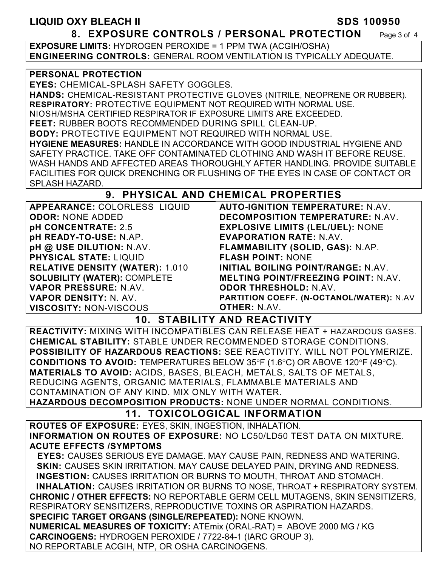#### **LIQUID OXY BLEACH II SDS 100950 8. EXPOSURE CONTROLS / PERSONAL PROTECTION** Page 3 of 4

**EXPOSURE LIMITS:** HYDROGEN PEROXIDE = 1 PPM TWA (ACGIH/OSHA) **ENGINEERING CONTROLS:** GENERAL ROOM VENTILATION IS TYPICALLY ADEQUATE.

#### **PERSONAL PROTECTION**

**EYES:** CHEMICAL-SPLASH SAFETY GOGGLES.

**HANDS:** CHEMICAL-RESISTANT PROTECTIVE GLOVES (NITRILE, NEOPRENE OR RUBBER). **RESPIRATORY:** PROTECTIVE EQUIPMENT NOT REQUIRED WITH NORMAL USE. NIOSH/MSHA CERTIFIED RESPIRATOR IF EXPOSURE LIMITS ARE EXCEEDED. **FEET:** RUBBER BOOTS RECOMMENDED DURING SPILL CLEAN-UP. **BODY:** PROTECTIVE EQUIPMENT NOT REQUIRED WITH NORMAL USE. **HYGIENE MEASURES:** HANDLE IN ACCORDANCE WITH GOOD INDUSTRIAL HYGIENE AND SAFETY PRACTICE. TAKE OFF CONTAMINATED CLOTHING AND WASH IT BEFORE REUSE. WASH HANDS AND AFFECTED AREAS THOROUGHLY AFTER HANDLING. PROVIDE SUITABLE FACILITIES FOR QUICK DRENCHING OR FLUSHING OF THE EYES IN CASE OF CONTACT OR SPLASH HAZARD.

# **9. PHYSICAL AND CHEMICAL PROPERTIES**

| APPEARANCE: COLORLESS LIQUID           | <b>AUTO-IGNITION TEMPERATURE: N.AV.</b>    |
|----------------------------------------|--------------------------------------------|
| <b>ODOR: NONE ADDED</b>                | <b>DECOMPOSITION TEMPERATURE: N.AV.</b>    |
| pH CONCENTRATE: 2.5                    | <b>EXPLOSIVE LIMITS (LEL/UEL): NONE</b>    |
| pH READY-TO-USE: N.AP.                 | <b>EVAPORATION RATE: N.AV.</b>             |
| pH @ USE DILUTION: N.AV.               | FLAMMABILITY (SOLID, GAS): N.AP.           |
| <b>PHYSICAL STATE: LIQUID</b>          | <b>FLASH POINT: NONE</b>                   |
| <b>RELATIVE DENSITY (WATER): 1.010</b> | INITIAL BOILING POINT/RANGE: N.AV.         |
| <b>SOLUBILITY (WATER): COMPLETE</b>    | <b>MELTING POINT/FREEZING POINT: N.AV.</b> |
| VAPOR PRESSURE: N.AV.                  | <b>ODOR THRESHOLD: N.AV.</b>               |
| VAPOR DENSITY: N. AV.                  | PARTITION COEFF. (N-OCTANOL/WATER): N.AV   |
| <b>VISCOSITY: NON-VISCOUS</b>          | <b>OTHER: N.AV.</b>                        |

### **10. STABILITY AND REACTIVITY**

**REACTIVITY:** MIXING WITH INCOMPATIBLES CAN RELEASE HEAT + HAZARDOUS GASES. **CHEMICAL STABILITY:** STABLE UNDER RECOMMENDED STORAGE CONDITIONS. **POSSIBILITY OF HAZARDOUS REACTIONS:** SEE REACTIVITY. WILL NOT POLYMERIZE. **CONDITIONS TO AVOID:** TEMPERATURES BELOW 35°F (1.6°C) OR ABOVE 120°F (49°C). **MATERIALS TO AVOID:** ACIDS, BASES, BLEACH, METALS, SALTS OF METALS, REDUCING AGENTS, ORGANIC MATERIALS, FLAMMABLE MATERIALS AND CONTAMINATION OF ANY KIND. MIX ONLY WITH WATER. **HAZARDOUS DECOMPOSITION PRODUCTS:** NONE UNDER NORMAL CONDITIONS.

# **11. TOXICOLOGICAL INFORMATION**

**ROUTES OF EXPOSURE:** EYES, SKIN, INGESTION, INHALATION. **INFORMATION ON ROUTES OF EXPOSURE:** NO LC50/LD50 TEST DATA ON MIXTURE. **ACUTE EFFECTS /SYMPTOMS**

 **EYES:** CAUSES SERIOUS EYE DAMAGE. MAY CAUSE PAIN, REDNESS AND WATERING. **SKIN:** CAUSES SKIN IRRITATION. MAY CAUSE DELAYED PAIN, DRYING AND REDNESS. **INGESTION:** CAUSES IRRITATION OR BURNS TO MOUTH, THROAT AND STOMACH. **INHALATION:** CAUSES IRRITATION OR BURNS TO NOSE, THROAT + RESPIRATORY SYSTEM. **CHRONIC / OTHER EFFECTS:** NO REPORTABLE GERM CELL MUTAGENS, SKIN SENSITIZERS, RESPIRATORY SENSITIZERS, REPRODUCTIVE TOXINS OR ASPIRATION HAZARDS.

**SPECIFIC TARGET ORGANS (SINGLE/REPEATED):** NONE KNOWN. **NUMERICAL MEASURES OF TOXICITY:** ATEmix (ORAL-RAT) = ABOVE 2000 MG / KG

**CARCINOGENS:** HYDROGEN PEROXIDE / 7722-84-1 (IARC GROUP 3).

NO REPORTABLE ACGIH, NTP, OR OSHA CARCINOGENS.